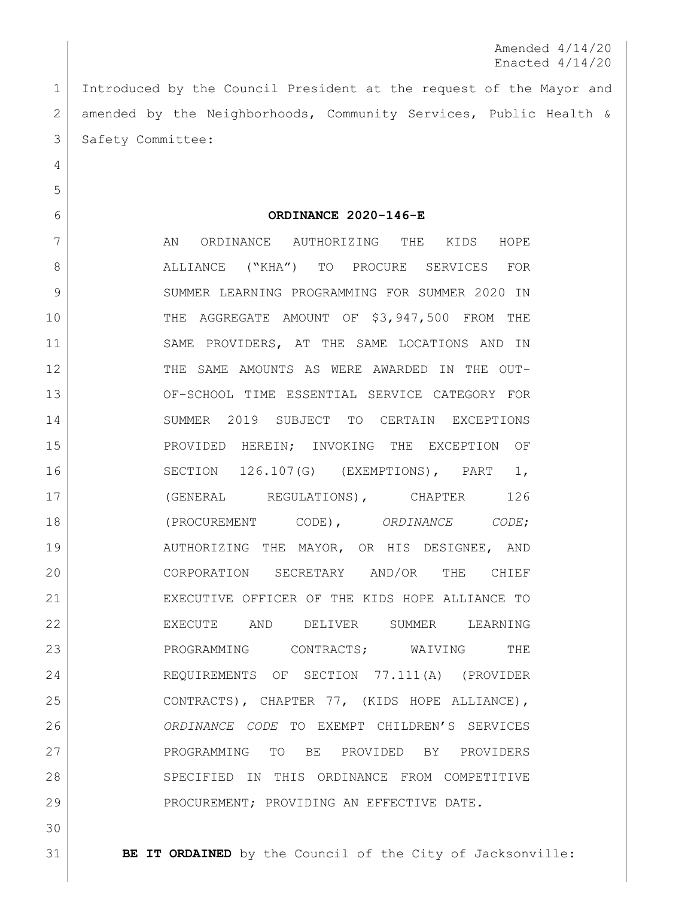Amended 4/14/20 Enacted 4/14/20

 Introduced by the Council President at the request of the Mayor and amended by the Neighborhoods, Community Services, Public Health & 3 Safety Committee:

## **ORDINANCE 2020-146-E**

7 AN ORDINANCE AUTHORIZING THE KIDS HOPE 8 | ALLIANCE ("KHA") TO PROCURE SERVICES FOR 9 SUMMER LEARNING PROGRAMMING FOR SUMMER 2020 IN THE AGGREGATE AMOUNT OF \$3,947,500 FROM THE SAME PROVIDERS, AT THE SAME LOCATIONS AND IN THE SAME AMOUNTS AS WERE AWARDED IN THE OUT- OF-SCHOOL TIME ESSENTIAL SERVICE CATEGORY FOR SUMMER 2019 SUBJECT TO CERTAIN EXCEPTIONS PROVIDED HEREIN; INVOKING THE EXCEPTION OF SECTION 126.107(G) (EXEMPTIONS), PART 1, (GENERAL REGULATIONS), CHAPTER 126 (PROCUREMENT CODE), *ORDINANCE CODE*; 19 | AUTHORIZING THE MAYOR, OR HIS DESIGNEE, AND CORPORATION SECRETARY AND/OR THE CHIEF EXECUTIVE OFFICER OF THE KIDS HOPE ALLIANCE TO EXECUTE AND DELIVER SUMMER LEARNING 23 PROGRAMMING CONTRACTS; WAIVING THE REQUIREMENTS OF SECTION 77.111(A) (PROVIDER CONTRACTS), CHAPTER 77, (KIDS HOPE ALLIANCE), *ORDINANCE CODE* TO EXEMPT CHILDREN'S SERVICES PROGRAMMING TO BE PROVIDED BY PROVIDERS 28 SPECIFIED IN THIS ORDINANCE FROM COMPETITIVE 29 PROCUREMENT; PROVIDING AN EFFECTIVE DATE.

**BE IT ORDAINED** by the Council of the City of Jacksonville: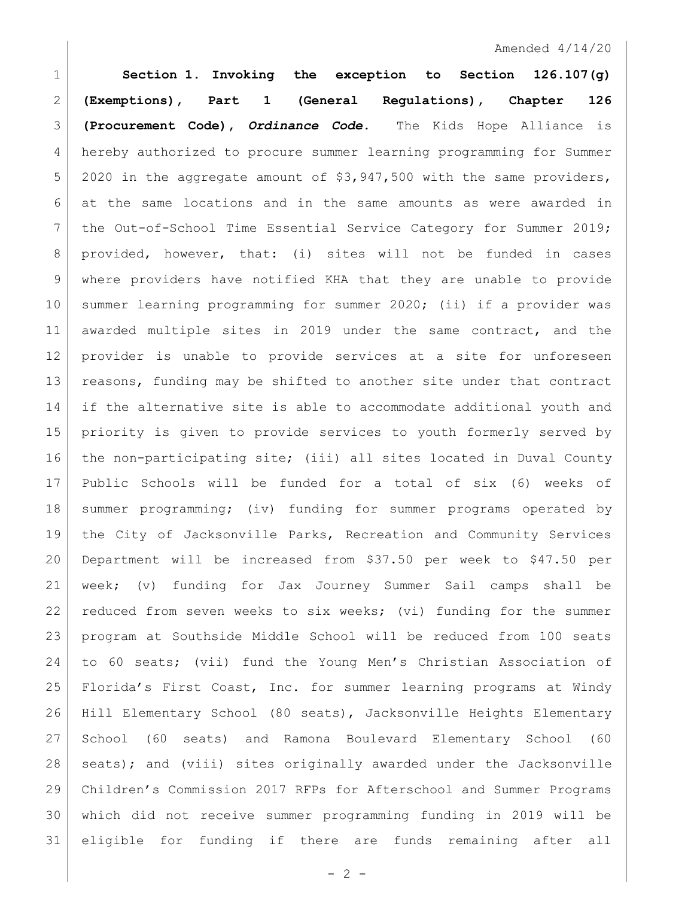## Amended 4/14/20

 **Section 1. Invoking the exception to Section 126.107(g) (Exemptions), Part 1 (General Regulations), Chapter 126 (Procurement Code),** *Ordinance Code***.** The Kids Hope Alliance is hereby authorized to procure summer learning programming for Summer 2020 in the aggregate amount of \$3,947,500 with the same providers, at the same locations and in the same amounts as were awarded in 7 | the Out-of-School Time Essential Service Category for Summer 2019; provided, however, that: (i) sites will not be funded in cases where providers have notified KHA that they are unable to provide summer learning programming for summer 2020; (ii) if a provider was awarded multiple sites in 2019 under the same contract, and the provider is unable to provide services at a site for unforeseen 13 | reasons, funding may be shifted to another site under that contract 14 if the alternative site is able to accommodate additional youth and priority is given to provide services to youth formerly served by the non-participating site; (iii) all sites located in Duval County Public Schools will be funded for a total of six (6) weeks of summer programming; (iv) funding for summer programs operated by 19 | the City of Jacksonville Parks, Recreation and Community Services Department will be increased from \$37.50 per week to \$47.50 per week; (v) funding for Jax Journey Summer Sail camps shall be 22 reduced from seven weeks to six weeks; (vi) funding for the summer program at Southside Middle School will be reduced from 100 seats to 60 seats; (vii) fund the Young Men's Christian Association of Florida's First Coast, Inc. for summer learning programs at Windy Hill Elementary School (80 seats), Jacksonville Heights Elementary School (60 seats) and Ramona Boulevard Elementary School (60 28 | seats); and (viii) sites originally awarded under the Jacksonville Children's Commission 2017 RFPs for Afterschool and Summer Programs which did not receive summer programming funding in 2019 will be eligible for funding if there are funds remaining after all

 $- 2 -$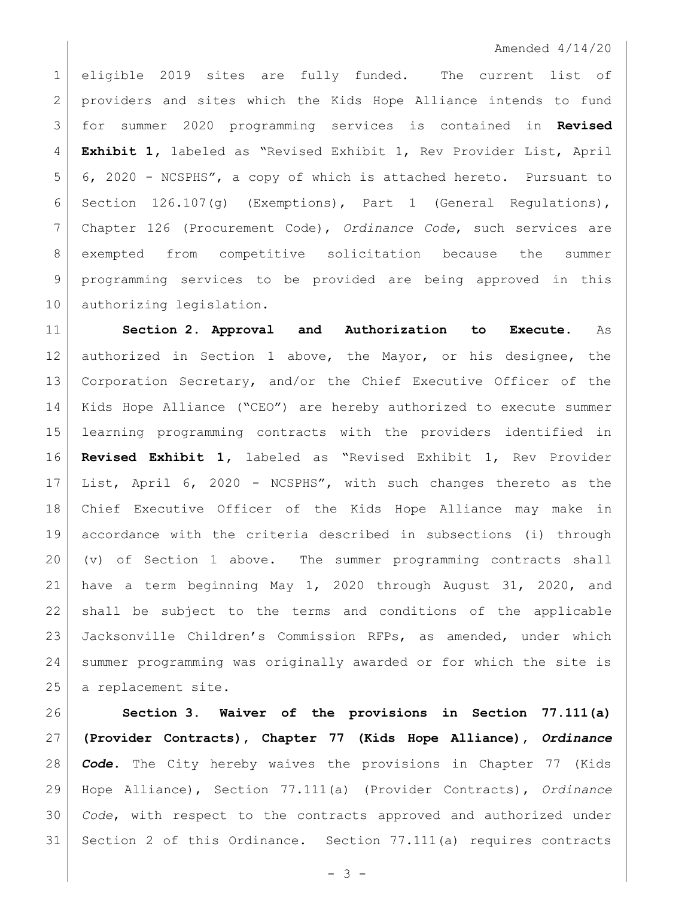## Amended 4/14/20

 eligible 2019 sites are fully funded. The current list of providers and sites which the Kids Hope Alliance intends to fund for summer 2020 programming services is contained in **Revised Exhibit 1,** labeled as "Revised Exhibit 1, Rev Provider List, April 6, 2020 - NCSPHS", a copy of which is attached hereto. Pursuant to Section 126.107(g) (Exemptions), Part 1 (General Regulations), Chapter 126 (Procurement Code), *Ordinance Code*, such services are exempted from competitive solicitation because the summer 9 | programming services to be provided are being approved in this 10 authorizing legislation.

 **Section 2. Approval and Authorization to Execute.** As authorized in Section 1 above, the Mayor, or his designee, the Corporation Secretary, and/or the Chief Executive Officer of the Kids Hope Alliance ("CEO") are hereby authorized to execute summer learning programming contracts with the providers identified in **Revised Exhibit 1,** labeled as "Revised Exhibit 1, Rev Provider List, April 6, 2020 - NCSPHS", with such changes thereto as the Chief Executive Officer of the Kids Hope Alliance may make in accordance with the criteria described in subsections (i) through (v) of Section 1 above. The summer programming contracts shall have a term beginning May 1, 2020 through August 31, 2020, and shall be subject to the terms and conditions of the applicable Jacksonville Children's Commission RFPs, as amended, under which summer programming was originally awarded or for which the site is 25 a replacement site.

 **Section 3. Waiver of the provisions in Section 77.111(a) (Provider Contracts), Chapter 77 (Kids Hope Alliance),** *Ordinance Code***.** The City hereby waives the provisions in Chapter 77 (Kids Hope Alliance), Section 77.111(a) (Provider Contracts), *Ordinance Code*, with respect to the contracts approved and authorized under Section 2 of this Ordinance. Section 77.111(a) requires contracts

 $- 3 -$